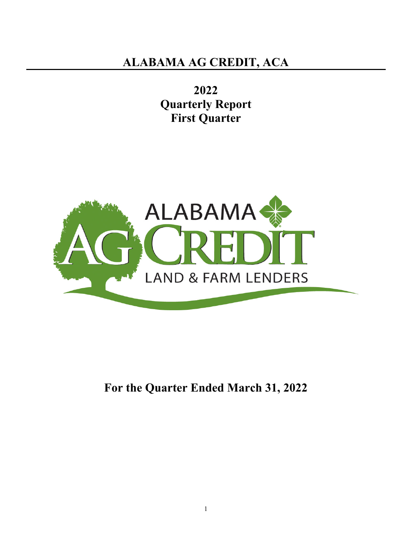**2022 Quarterly Report First Quarter** 



**For the Quarter Ended March 31, 2022**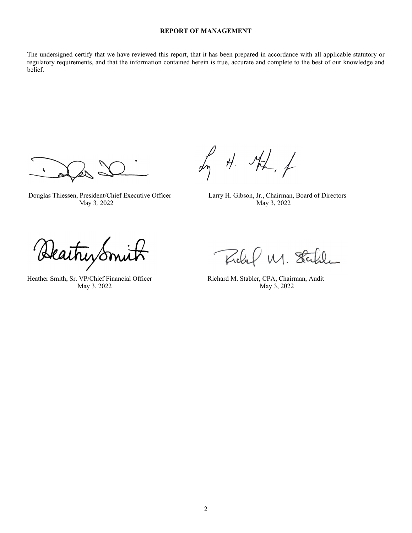## **REPORT OF MANAGEMENT**

The undersigned certify that we have reviewed this report, that it has been prepared in accordance with all applicable statutory or regulatory requirements, and that the information contained herein is true, accurate and complete to the best of our knowledge and belief.

L

In 4. AL, f

 Douglas Thiessen, President/Chief Executive Officer Larry H. Gibson, Jr., Chairman, Board of Directors May 3*,* 2022 May 3, 2022

Reathy Smith Field M. Stabler, CPA, Chairman, Audit

Richel M. Statel

May 3, 2022 May 3, 2022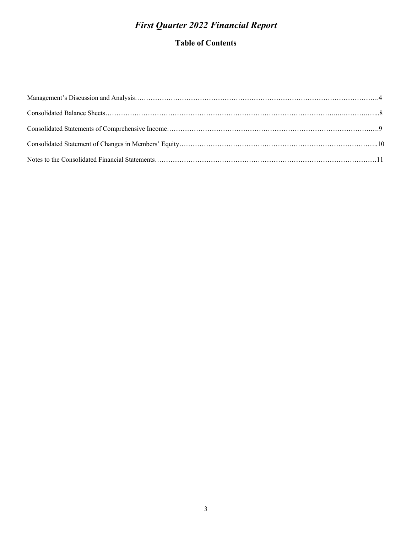## *First Quarter 2022 Financial Report*

## **Table of Contents**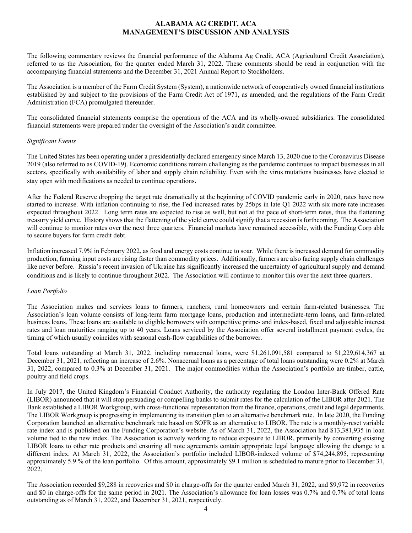## **ALABAMA AG CREDIT, ACA MANAGEMENT'S DISCUSSION AND ANALYSIS**

The following commentary reviews the financial performance of the Alabama Ag Credit, ACA (Agricultural Credit Association), referred to as the Association, for the quarter ended March 31, 2022. These comments should be read in conjunction with the accompanying financial statements and the December 31, 2021 Annual Report to Stockholders.

The Association is a member of the Farm Credit System (System), a nationwide network of cooperatively owned financial institutions established by and subject to the provisions of the Farm Credit Act of 1971, as amended, and the regulations of the Farm Credit Administration (FCA) promulgated thereunder.

The consolidated financial statements comprise the operations of the ACA and its wholly-owned subsidiaries. The consolidated financial statements were prepared under the oversight of the Association's audit committee.

#### *Significant Events*

The United States has been operating under a presidentially declared emergency since March 13, 2020 due to the Coronavirus Disease 2019 (also referred to as COVID-19). Economic conditions remain challenging as the pandemic continues to impact businesses in all sectors, specifically with availability of labor and supply chain reliability. Even with the virus mutations businesses have elected to stay open with modifications as needed to continue operations.

After the Federal Reserve dropping the target rate dramatically at the beginning of COVID pandemic early in 2020, rates have now started to increase. With inflation continuing to rise, the Fed increased rates by 25bps in late Q1 2022 with six more rate increases expected throughout 2022. Long term rates are expected to rise as well, but not at the pace of short-term rates, thus the flattening treasury yield curve. History shows that the flattening of the yield curve could signify that a recession is forthcoming. The Association will continue to monitor rates over the next three quarters. Financial markets have remained accessible, with the Funding Corp able to secure buyers for farm credit debt.

Inflation increased 7.9% in February 2022, as food and energy costs continue to soar. While there is increased demand for commodity production, farming input costs are rising faster than commodity prices. Additionally, farmers are also facing supply chain challenges like never before. Russia's recent invasion of Ukraine has significantly increased the uncertainty of agricultural supply and demand conditions and is likely to continue throughout 2022. The Association will continue to monitor this over the next three quarters.

#### *Loan Portfolio*

The Association makes and services loans to farmers, ranchers, rural homeowners and certain farm-related businesses. The Association's loan volume consists of long-term farm mortgage loans, production and intermediate-term loans, and farm-related business loans. These loans are available to eligible borrowers with competitive prime- and index-based, fixed and adjustable interest rates and loan maturities ranging up to 40 years. Loans serviced by the Association offer several installment payment cycles, the timing of which usually coincides with seasonal cash-flow capabilities of the borrower.

Total loans outstanding at March 31, 2022, including nonaccrual loans, were \$1,261,091,581 compared to \$1,229,614,367 at December 31, 2021, reflecting an increase of 2.6%. Nonaccrual loans as a percentage of total loans outstanding were 0.2% at March 31, 2022, compared to 0.3% at December 31, 2021. The major commodities within the Association's portfolio are timber, cattle, poultry and field crops.

In July 2017, the United Kingdom's Financial Conduct Authority, the authority regulating the London Inter-Bank Offered Rate (LIBOR) announced that it will stop persuading or compelling banks to submit rates for the calculation of the LIBOR after 2021. The Bank established a LIBOR Workgroup, with cross-functional representation from the finance, operations, credit and legal departments. The LIBOR Workgroup is progressing in implementing its transition plan to an alternative benchmark rate. In late 2020, the Funding Corporation launched an alternative benchmark rate based on SOFR as an alternative to LIBOR. The rate is a monthly-reset variable rate index and is published on the Funding Corporation's website. As of March 31, 2022, the Association had \$13,381,935 in loan volume tied to the new index. The Association is actively working to reduce exposure to LIBOR, primarily by converting existing LIBOR loans to other rate products and ensuring all note agreements contain appropriate legal language allowing the change to a different index. At March 31, 2022, the Association's portfolio included LIBOR-indexed volume of \$74,244,895, representing approximately 5.9 % of the loan portfolio. Of this amount, approximately \$9.1 million is scheduled to mature prior to December 31, 2022.

The Association recorded \$9,288 in recoveries and \$0 in charge-offs for the quarter ended March 31, 2022, and \$9,972 in recoveries and \$0 in charge-offs for the same period in 2021. The Association's allowance for loan losses was 0.7% and 0.7% of total loans outstanding as of March 31, 2022, and December 31, 2021, respectively.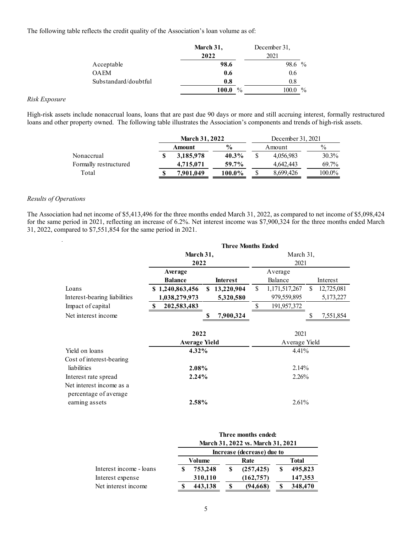The following table reflects the credit quality of the Association's loan volume as of:

|                      | March 31,              | December 31,          |
|----------------------|------------------------|-----------------------|
|                      | 2022                   | 2021                  |
| Acceptable           | 98.6                   | $\frac{0}{0}$<br>98.6 |
| <b>OAEM</b>          | 0.6                    | 0.6                   |
| Substandard/doubtful | 0.8                    | 0.8                   |
|                      | $\frac{0}{0}$<br>100.0 | $\frac{0}{0}$         |

#### *Risk Exposure*

High-risk assets include nonaccrual loans, loans that are past due 90 days or more and still accruing interest, formally restructured loans and other property owned. The following table illustrates the Association's components and trends of high-risk assets.

|                       | <b>March 31, 2022</b> |               | December 31, 2021 |           |          |  |
|-----------------------|-----------------------|---------------|-------------------|-----------|----------|--|
|                       | Amount                | $\frac{6}{9}$ |                   | Amount    | $\%$     |  |
| Nonaccrual            | 3,185,978             | 40.3%         |                   | 4.056.983 | $30.3\%$ |  |
| Formally restructured | 4,715,071             | 59.7%         |                   | 4,642,443 | 69.7%    |  |
| Total                 | 7.901.049             | $100.0\%$     |                   | 8.699.426 | 100.0%   |  |

#### *Results of Operations*

l.

The Association had net income of \$5,413,496 for the three months ended March 31, 2022, as compared to net income of \$5,098,424 for the same period in 2021, reflecting an increase of 6.2%. Net interest income was \$7,900,324 for the three months ended March 31, 2022, compared to \$7,551,854 for the same period in 2021.

|                                                                     | <b>Three Months Ended</b>        |                           |                                       |                               |  |  |  |  |  |  |  |  |
|---------------------------------------------------------------------|----------------------------------|---------------------------|---------------------------------------|-------------------------------|--|--|--|--|--|--|--|--|
|                                                                     | March 31,<br>2022                |                           | March 31,<br>2021                     |                               |  |  |  |  |  |  |  |  |
|                                                                     | Average<br><b>Balance</b>        | <b>Interest</b>           | Average<br>Balance                    | Interest                      |  |  |  |  |  |  |  |  |
| Loans<br>Interest-bearing liabilities                               | \$1,240,863,456<br>1,038,279,973 | \$13,220,904<br>5,320,580 | \$<br>1, 171, 517, 267<br>979,559,895 | 12,725,081<br>S.<br>5,173,227 |  |  |  |  |  |  |  |  |
| Impact of capital                                                   | 202,583,483<br>S                 |                           | \$<br>191,957,372                     |                               |  |  |  |  |  |  |  |  |
| Net interest income                                                 |                                  | 7,900,324                 |                                       | 7,551,854                     |  |  |  |  |  |  |  |  |
|                                                                     | 2022<br><b>Average Yield</b>     |                           | 2021<br>Average Yield                 |                               |  |  |  |  |  |  |  |  |
| Yield on loans                                                      | $4.32\%$                         |                           | $4.41\%$                              |                               |  |  |  |  |  |  |  |  |
| Cost of interest-bearing<br>liabilities<br>Interest rate spread     | 2.08%<br>$2.24\%$                |                           | $2.14\%$<br>2.26%                     |                               |  |  |  |  |  |  |  |  |
| Net interest income as a<br>percentage of average<br>earning assets | 2.58%                            |                           | 2.61%                                 |                               |  |  |  |  |  |  |  |  |

|                         | Three months ended:<br>March 31, 2022 vs. March 31, 2021 |                            |  |            |              |         |  |  |
|-------------------------|----------------------------------------------------------|----------------------------|--|------------|--------------|---------|--|--|
|                         |                                                          | Increase (decrease) due to |  |            |              |         |  |  |
|                         |                                                          | Volume                     |  | Rate       | <b>Total</b> |         |  |  |
| Interest income - loans |                                                          | 753,248                    |  | (257, 425) |              | 495,823 |  |  |
| Interest expense        |                                                          | 310,110                    |  | (162, 757) |              | 147,353 |  |  |
| Net interest income     |                                                          | 443,138                    |  | (94,668)   |              | 348,470 |  |  |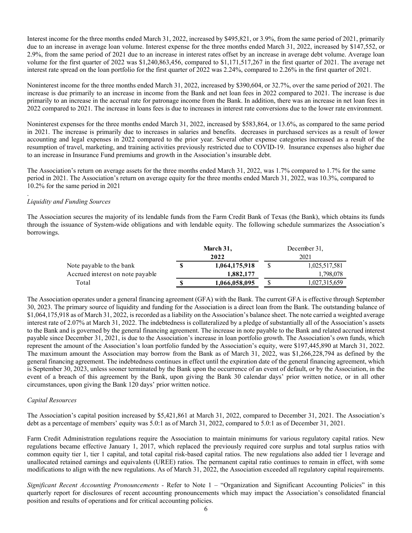Interest income for the three months ended March 31, 2022, increased by \$495,821, or 3.9%, from the same period of 2021, primarily due to an increase in average loan volume. Interest expense for the three months ended March 31, 2022, increased by \$147,552, or 2.9%, from the same period of 2021 due to an increase in interest rates offset by an increase in average debt volume. Average loan volume for the first quarter of 2022 was \$1,240,863,456, compared to \$1,171,517,267 in the first quarter of 2021. The average net interest rate spread on the loan portfolio for the first quarter of 2022 was 2.24%, compared to 2.26% in the first quarter of 2021.

Noninterest income for the three months ended March 31, 2022, increased by \$390,604, or 32.7%, over the same period of 2021. The increase is due primarily to an increase in income from the Bank and net loan fees in 2022 compared to 2021. The increase is due primarily to an increase in the accrual rate for patronage income from the Bank. In addition, there was an increase in net loan fees in 2022 compared to 2021. The increase in loans fees is due to increases in interest rate conversions due to the lower rate environment.

Noninterest expenses for the three months ended March 31, 2022, increased by \$583,864, or 13.6%, as compared to the same period in 2021. The increase is primarily due to increases in salaries and benefits. decreases in purchased services as a result of lower accounting and legal expenses in 2022 compared to the prior year. Several other expense categories increased as a result of the resumption of travel, marketing, and training activities previously restricted due to COVID-19. Insurance expenses also higher due to an increase in Insurance Fund premiums and growth in the Association's insurable debt.

The Association's return on average assets for the three months ended March 31, 2022, was 1.7% compared to 1.7% for the same period in 2021. The Association's return on average equity for the three months ended March 31, 2022, was 10.3%, compared to 10.2% for the same period in 2021

#### *Liquidity and Funding Sources*

.

The Association secures the majority of its lendable funds from the Farm Credit Bank of Texas (the Bank), which obtains its funds through the issuance of System-wide obligations and with lendable equity. The following schedule summarizes the Association's borrowings.

|                                  | March 31, |               |    | December 31,  |  |  |  |
|----------------------------------|-----------|---------------|----|---------------|--|--|--|
|                                  |           | 2022          |    | 2021          |  |  |  |
| Note payable to the bank         |           | 1,064,175,918 |    | 1,025,517,581 |  |  |  |
| Accrued interest on note payable |           | 1,882,177     |    | 1,798,078     |  |  |  |
| Total                            | S         | 1,066,058,095 | \$ | 1,027,315,659 |  |  |  |

The Association operates under a general financing agreement (GFA) with the Bank. The current GFA is effective through September 30, 2023. The primary source of liquidity and funding for the Association is a direct loan from the Bank. The outstanding balance of \$1,064,175,918 as of March 31, 2022, is recorded as a liability on the Association's balance sheet. The note carried a weighted average interest rate of 2.07% at March 31, 2022. The indebtedness is collateralized by a pledge of substantially all of the Association's assets to the Bank and is governed by the general financing agreement. The increase in note payable to the Bank and related accrued interest payable since December 31, 2021, is due to the Association's increase in loan portfolio growth. The Association's own funds, which represent the amount of the Association's loan portfolio funded by the Association's equity, were \$197,445,890 at March 31, 2022. The maximum amount the Association may borrow from the Bank as of March 31, 2022, was \$1,266,228,794 as defined by the general financing agreement. The indebtedness continues in effect until the expiration date of the general financing agreement, which is September 30, 2023, unless sooner terminated by the Bank upon the occurrence of an event of default, or by the Association, in the event of a breach of this agreement by the Bank, upon giving the Bank 30 calendar days' prior written notice, or in all other circumstances, upon giving the Bank 120 days' prior written notice.

#### *Capital Resources*

The Association's capital position increased by \$5,421,861 at March 31, 2022, compared to December 31, 2021. The Association's debt as a percentage of members' equity was 5.0:1 as of March 31, 2022, compared to 5.0:1 as of December 31, 2021.

Farm Credit Administration regulations require the Association to maintain minimums for various regulatory capital ratios. New regulations became effective January 1, 2017, which replaced the previously required core surplus and total surplus ratios with common equity tier 1, tier 1 capital, and total capital risk-based capital ratios. The new regulations also added tier 1 leverage and unallocated retained earnings and equivalents (UREE) ratios. The permanent capital ratio continues to remain in effect, with some modifications to align with the new regulations. As of March 31, 2022, the Association exceeded all regulatory capital requirements.

*Significant Recent Accounting Pronouncements -* Refer to Note 1 – "Organization and Significant Accounting Policies" in this quarterly report for disclosures of recent accounting pronouncements which may impact the Association's consolidated financial position and results of operations and for critical accounting policies.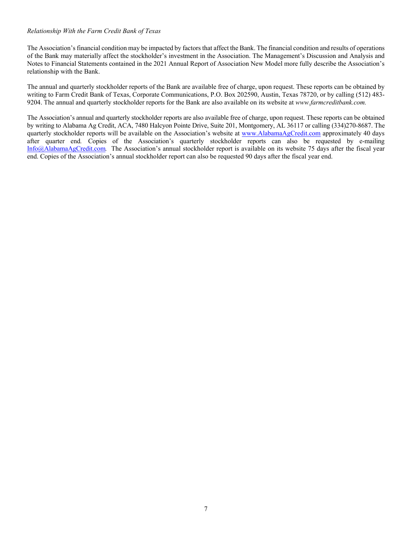#### *Relationship With the Farm Credit Bank of Texas*

The Association's financial condition may be impacted by factors that affect the Bank. The financial condition and results of operations of the Bank may materially affect the stockholder's investment in the Association. The Management's Discussion and Analysis and Notes to Financial Statements contained in the 2021 Annual Report of Association New Model more fully describe the Association's relationship with the Bank.

The annual and quarterly stockholder reports of the Bank are available free of charge, upon request. These reports can be obtained by writing to Farm Credit Bank of Texas, Corporate Communications, P.O. Box 202590, Austin, Texas 78720, or by calling (512) 483- 9204. The annual and quarterly stockholder reports for the Bank are also available on its website at *www.farmcreditbank.com.* 

The Association's annual and quarterly stockholder reports are also available free of charge, upon request. These reports can be obtained by writing to Alabama Ag Credit, ACA, 7480 Halcyon Pointe Drive, Suite 201, Montgomery, AL 36117 or calling (334)270-8687. The quarterly stockholder reports will be available on the Association's website at www.AlabamaAgCredit.com approximately 40 days after quarter end*.* Copies of the Association's quarterly stockholder reports can also be requested by e-mailing Info@AlabamaAgCredit.com*.* The Association's annual stockholder report is available on its website 75 days after the fiscal year end. Copies of the Association's annual stockholder report can also be requested 90 days after the fiscal year end.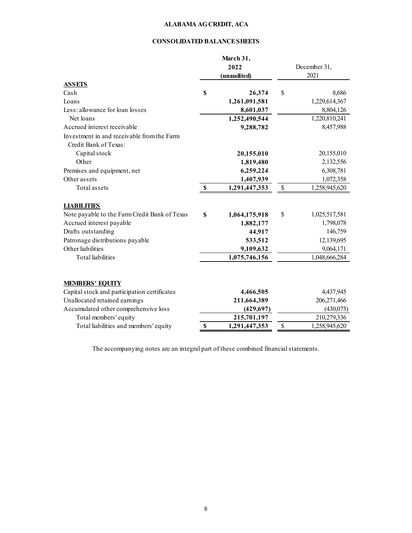## **CONSOLIDATED BALANCE SHEETS**

|                                               | March 31,<br>2022<br>(unaudited) |              | December 31,<br>2021 |
|-----------------------------------------------|----------------------------------|--------------|----------------------|
| <b>ASSETS</b>                                 |                                  |              |                      |
| Cash                                          | \$<br>26,374                     | \$           | 8,686                |
| Loans                                         | 1,261,091,581                    |              | 1,229,614,367        |
| Less: allowance for loan losses               | 8,601,037                        |              | 8,804,126            |
| Net loans                                     | 1,252,490,544                    |              | 1,220,810,241        |
| Accrued interest receivable                   | 9,288,782                        |              | 8,457,988            |
| Investment in and receivable from the Farm    |                                  |              |                      |
| Credit Bank of Texas:                         |                                  |              |                      |
| Capital stock                                 | 20,155,010                       |              | 20,155,010           |
| Other                                         | 1,819,480                        |              | 2,132,556            |
| Premises and equipment, net                   | 6,259,224                        |              | 6,308,781            |
| Other assets                                  | 1,407,939                        |              | 1,072,358            |
| Total assets                                  | \$<br>1,291,447,353              | $\mathbb{S}$ | 1,258,945,620        |
| <b>LIABILITIES</b>                            |                                  |              |                      |
| Note payable to the Farm Credit Bank of Texas | \$<br>1,064,175,918              | \$           | 1,025,517,581        |
| Accrued interest payable                      | 1,882,177                        |              | 1,798,078            |
| Drafts outstanding                            | 44,917                           |              | 146,759              |
| Patronage distributions payable               | 533,512                          |              | 12,139,695           |
| Other liabilities                             | 9,109,632                        |              | 9,064,171            |
| <b>Total</b> liabilities                      | 1,075,746,156                    |              | 1,048,666,284        |
| <b>MEMBERS' EQUITY</b>                        |                                  |              |                      |
| Capital stock and participation certificates  | 4,466,505                        |              | 4,437,945            |
| Unallocated retained earnings                 | 211,664,389                      |              | 206,271,466          |
| Accumulated other comprehensive loss          | (429, 697)                       |              | (430,075)            |
| Total members' equity                         | 215,701,197                      |              | 210,279,336          |
| Total liabilities and members' equity         | \$<br>1,291,447,353              | \$           | 1,258,945,620        |

The accompanying notes are an integral part of these combined financial statements.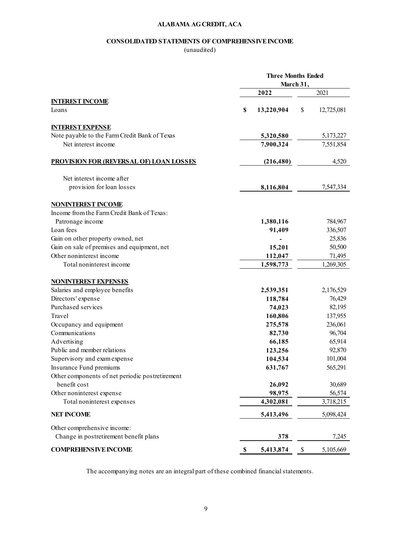#### **CONSOLIDATED STATEMENTS OF COMPREHENSIVE INCOME**

(unaudited)

|                                                 | <b>Three Months Ended</b><br>March 31, |            |    |            |  |  |  |
|-------------------------------------------------|----------------------------------------|------------|----|------------|--|--|--|
|                                                 |                                        | 2022       |    | 2021       |  |  |  |
| <b>INTEREST INCOME</b>                          |                                        |            |    |            |  |  |  |
| Loans                                           | \$                                     | 13,220,904 | \$ | 12,725,081 |  |  |  |
| <b>INTEREST EXPENSE</b>                         |                                        |            |    |            |  |  |  |
| Note payable to the Farm Credit Bank of Texas   |                                        | 5,320,580  |    | 5,173,227  |  |  |  |
| Net interest income                             |                                        | 7,900,324  |    | 7,551,854  |  |  |  |
| <b>PROVISION FOR (REVERSAL OF) LOAN LOSSES</b>  |                                        | (216, 480) |    | 4,520      |  |  |  |
| Net interest income after                       |                                        |            |    |            |  |  |  |
| provision for loan losses                       |                                        | 8,116,804  |    | 7,547,334  |  |  |  |
| <b>NONINTEREST INCOME</b>                       |                                        |            |    |            |  |  |  |
| Income from the Farm Credit Bank of Texas:      |                                        |            |    |            |  |  |  |
| Patronage income                                |                                        | 1,380,116  |    | 784,967    |  |  |  |
| Loan fees                                       |                                        | 91,409     |    | 336,507    |  |  |  |
| Gain on other property owned, net               |                                        |            |    | 25,836     |  |  |  |
| Gain on sale of premises and equipment, net     |                                        | 15,201     |    | 50,500     |  |  |  |
| Other noninterest income                        |                                        | 112,047    |    | 71,495     |  |  |  |
| Total noninterest income                        |                                        | 1,598,773  |    | 1,269,305  |  |  |  |
| <b>NONINTEREST EXPENSES</b>                     |                                        |            |    |            |  |  |  |
| Salaries and employee benefits                  |                                        | 2,539,351  |    | 2,176,529  |  |  |  |
| Directors' expense                              |                                        | 118,784    |    | 76,429     |  |  |  |
| Purchased services                              |                                        | 74,023     |    | 82,195     |  |  |  |
| Travel                                          |                                        | 160,806    |    | 137,955    |  |  |  |
| Occupancy and equipment                         |                                        | 275,578    |    | 236,061    |  |  |  |
| Communications                                  |                                        | 82,730     |    | 96,704     |  |  |  |
| Advertising                                     |                                        | 66,185     |    | 65,914     |  |  |  |
| Public and member relations                     |                                        | 123,256    |    | 92,870     |  |  |  |
| Supervisory and exam expense                    |                                        | 104,534    |    | 101,004    |  |  |  |
| Insurance Fund premiums                         |                                        | 631,767    |    | 565,291    |  |  |  |
| Other components of net periodic postretirement |                                        |            |    |            |  |  |  |
| benefit cost                                    |                                        | 26,092     |    | 30,689     |  |  |  |
| Other noninterest expense                       |                                        | 98,975     |    | 56,574     |  |  |  |
| Total noninterest expenses                      |                                        | 4,302,081  |    | 3,718,215  |  |  |  |
| <b>NET INCOME</b>                               |                                        | 5,413,496  |    | 5,098,424  |  |  |  |
| Other comprehensive income:                     |                                        |            |    |            |  |  |  |
| Change in postretirement benefit plans          |                                        | 378        |    | 7,245      |  |  |  |
| <b>COMPREHENSIVE INCOME</b>                     | \$                                     | 5,413,874  | \$ | 5,105,669  |  |  |  |

The accompanying notes are an integral part of these combined financial statements.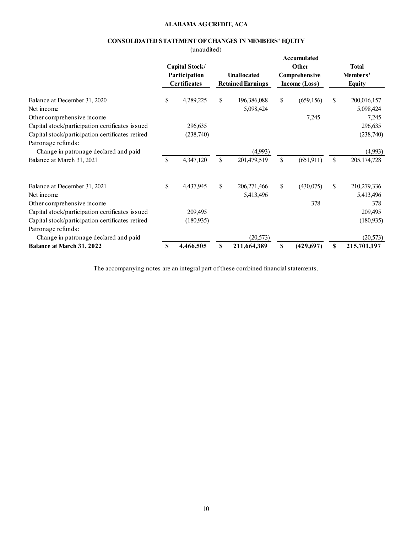## **CONSOLIDATED STATEMENT OF CHANGES IN MEMBERS' EQUITY**

(unaudited)

|                                                                                                                           |                                                        | 1                    |    |                                                |    |                                                        |                                           |                                   |
|---------------------------------------------------------------------------------------------------------------------------|--------------------------------------------------------|----------------------|----|------------------------------------------------|----|--------------------------------------------------------|-------------------------------------------|-----------------------------------|
|                                                                                                                           | Capital Stock/<br>Participation<br><b>Certificates</b> |                      |    | <b>Unallocated</b><br><b>Retained Earnings</b> |    | Accumulated<br>Other<br>Comprehensive<br>Income (Loss) | <b>Total</b><br>Members'<br><b>Equity</b> |                                   |
| Balance at December 31, 2020<br>Net income<br>Other comprehensive income                                                  | \$                                                     | 4,289,225            | \$ | 196,386,088<br>5,098,424                       | \$ | (659, 156)<br>7,245                                    | \$                                        | 200,016,157<br>5,098,424<br>7,245 |
| Capital stock/participation certificates issued<br>Capital stock/participation certificates retired<br>Patronage refunds: |                                                        | 296,635<br>(238,740) |    |                                                |    |                                                        |                                           | 296,635<br>(238,740)              |
| Change in patronage declared and paid                                                                                     |                                                        |                      |    | (4,993)                                        |    |                                                        |                                           | (4,993)                           |
| Balance at March 31, 2021                                                                                                 |                                                        | 4,347,120            | \$ | 201,479,519                                    |    | (651, 911)                                             | \$                                        | 205, 174, 728                     |
| Balance at December 31, 2021<br>Net income<br>Other comprehensive income                                                  | \$                                                     | 4,437,945            | \$ | 206, 271, 466<br>5,413,496                     | \$ | (430,075)<br>378                                       | \$                                        | 210,279,336<br>5,413,496<br>378   |
| Capital stock/participation certificates issued                                                                           |                                                        | 209,495              |    |                                                |    |                                                        |                                           | 209,495                           |
| Capital stock/participation certificates retired                                                                          |                                                        | (180, 935)           |    |                                                |    |                                                        |                                           | (180, 935)                        |
| Patronage refunds:<br>Change in patronage declared and paid                                                               |                                                        |                      |    | (20, 573)                                      |    |                                                        |                                           | (20, 573)                         |
| <b>Balance at March 31, 2022</b>                                                                                          | \$                                                     | 4,466,505            | \$ | 211,664,389                                    | \$ | (429, 697)                                             | \$                                        | 215,701,197                       |

The accompanying notes are an integral part of these combined financial statements.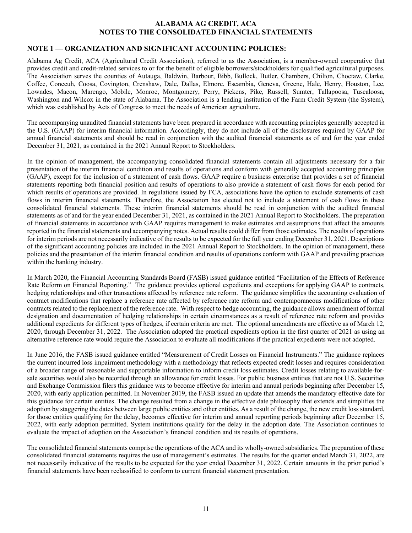## **ALABAMA AG CREDIT, ACA NOTES TO THE CONSOLIDATED FINANCIAL STATEMENTS**

## **NOTE 1 — ORGANIZATION AND SIGNIFICANT ACCOUNTING POLICIES:**

Alabama Ag Credit, ACA (Agricultural Credit Association), referred to as the Association, is a member-owned cooperative that provides credit and credit-related services to or for the benefit of eligible borrowers/stockholders for qualified agricultural purposes. The Association serves the counties of Autauga, Baldwin, Barbour, Bibb, Bullock, Butler, Chambers, Chilton, Choctaw, Clarke, Coffee, Conecuh, Coosa, Covington, Crenshaw, Dale, Dallas, Elmore, Escambia, Geneva, Greene, Hale, Henry, Houston, Lee, Lowndes, Macon, Marengo, Mobile, Monroe, Montgomery, Perry, Pickens, Pike, Russell, Sumter, Tallapoosa, Tuscaloosa, Washington and Wilcox in the state of Alabama. The Association is a lending institution of the Farm Credit System (the System), which was established by Acts of Congress to meet the needs of American agriculture.

The accompanying unaudited financial statements have been prepared in accordance with accounting principles generally accepted in the U.S. (GAAP) for interim financial information. Accordingly, they do not include all of the disclosures required by GAAP for annual financial statements and should be read in conjunction with the audited financial statements as of and for the year ended December 31, 2021, as contained in the 2021 Annual Report to Stockholders.

In the opinion of management, the accompanying consolidated financial statements contain all adjustments necessary for a fair presentation of the interim financial condition and results of operations and conform with generally accepted accounting principles (GAAP), except for the inclusion of a statement of cash flows. GAAP require a business enterprise that provides a set of financial statements reporting both financial position and results of operations to also provide a statement of cash flows for each period for which results of operations are provided. In regulations issued by FCA, associations have the option to exclude statements of cash flows in interim financial statements. Therefore, the Association has elected not to include a statement of cash flows in these consolidated financial statements. These interim financial statements should be read in conjunction with the audited financial statements as of and for the year ended December 31, 2021, as contained in the 2021 Annual Report to Stockholders. The preparation of financial statements in accordance with GAAP requires management to make estimates and assumptions that affect the amounts reported in the financial statements and accompanying notes. Actual results could differ from those estimates. The results of operations for interim periods are not necessarily indicative of the results to be expected for the full year ending December 31, 2021. Descriptions of the significant accounting policies are included in the 2021 Annual Report to Stockholders. In the opinion of management, these policies and the presentation of the interim financial condition and results of operations conform with GAAP and prevailing practices within the banking industry.

In March 2020, the Financial Accounting Standards Board (FASB) issued guidance entitled "Facilitation of the Effects of Reference Rate Reform on Financial Reporting." The guidance provides optional expedients and exceptions for applying GAAP to contracts, hedging relationships and other transactions affected by reference rate reform. The guidance simplifies the accounting evaluation of contract modifications that replace a reference rate affected by reference rate reform and contemporaneous modifications of other contracts related to the replacement of the reference rate. With respect to hedge accounting, the guidance allows amendment of formal designation and documentation of hedging relationships in certain circumstances as a result of reference rate reform and provides additional expedients for different types of hedges, if certain criteria are met. The optional amendments are effective as of March 12, 2020, through December 31, 2022. The Association adopted the practical expedients option in the first quarter of 2021 as using an alternative reference rate would require the Association to evaluate all modifications if the practical expedients were not adopted.

In June 2016, the FASB issued guidance entitled "Measurement of Credit Losses on Financial Instruments." The guidance replaces the current incurred loss impairment methodology with a methodology that reflects expected credit losses and requires consideration of a broader range of reasonable and supportable information to inform credit loss estimates. Credit losses relating to available-forsale securities would also be recorded through an allowance for credit losses. For public business entities that are not U.S. Securities and Exchange Commission filers this guidance was to become effective for interim and annual periods beginning after December 15, 2020, with early application permitted. In November 2019, the FASB issued an update that amends the mandatory effective date for this guidance for certain entities. The change resulted from a change in the effective date philosophy that extends and simplifies the adoption by staggering the dates between large public entities and other entities. As a result of the change, the new credit loss standard, for those entities qualifying for the delay, becomes effective for interim and annual reporting periods beginning after December 15, 2022, with early adoption permitted. System institutions qualify for the delay in the adoption date. The Association continues to evaluate the impact of adoption on the Association's financial condition and its results of operations.

The consolidated financial statements comprise the operations of the ACA and its wholly-owned subsidiaries. The preparation of these consolidated financial statements requires the use of management's estimates. The results for the quarter ended March 31, 2022, are not necessarily indicative of the results to be expected for the year ended December 31, 2022. Certain amounts in the prior period's financial statements have been reclassified to conform to current financial statement presentation.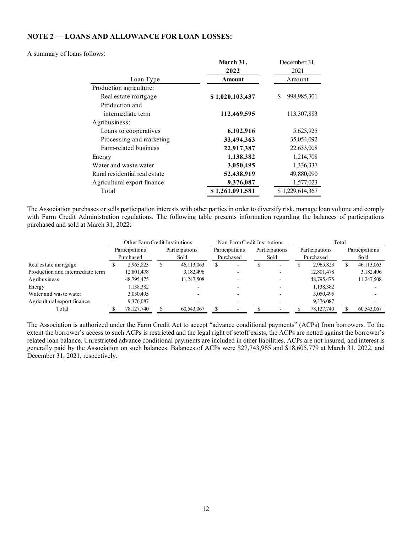#### **NOTE 2 — LOANS AND ALLOWANCE FOR LOAN LOSSES:**

#### A summary of loans follows:

|                               | March 31,       | December 31,     |
|-------------------------------|-----------------|------------------|
|                               | 2022            | 2021             |
| Loan Type                     | <b>Amount</b>   | Amount           |
| Production agriculture:       |                 |                  |
| Real estate mortgage          | \$1,020,103,437 | 998,985,301<br>S |
| Production and                |                 |                  |
| intermediate term             | 112,469,595     | 113,307,883      |
| Agribusiness:                 |                 |                  |
| Loans to cooperatives         | 6,102,916       | 5,625,925        |
| Processing and marketing      | 33,494,363      | 35,054,092       |
| Farm-related business         | 22,917,387      | 22,633,008       |
| Energy                        | 1,138,382       | 1,214,708        |
| Water and waste water         | 3,050,495       | 1,336,337        |
| Rural residential real estate | 52,438,919      | 49,880,090       |
| Agricultural export finance   | 9,376,087       | 1,577,023        |
| Total                         | \$1,261,091,581 | \$1,229,614,367  |

The Association purchases or sells participation interests with other parties in order to diversify risk, manage loan volume and comply with Farm Credit Administration regulations. The following table presents information regarding the balances of participations purchased and sold at March 31, 2022:

|                                  | Other Farm Credit Institutions |    | Non-Farm Credit Institutions |  |                          |  | Total          |  |                |  |                |
|----------------------------------|--------------------------------|----|------------------------------|--|--------------------------|--|----------------|--|----------------|--|----------------|
|                                  | Participations                 |    | Participations               |  | Participations           |  | Participations |  | Participations |  | Participations |
|                                  | Purchased                      |    | Sold                         |  | Purchased                |  | Sold           |  | Purchased      |  | Sold           |
| Real estate mortgage             | 2,965,823                      | J. | 46,113,063                   |  | $\overline{\phantom{a}}$ |  |                |  | 2.965.823      |  | 46,113,063     |
| Production and intermediate term | 12,801,478                     |    | 3,182,496                    |  |                          |  |                |  | 12,801,478     |  | 3,182,496      |
| Agribusiness                     | 48,795,475                     |    | 11,247,508                   |  |                          |  |                |  | 48,795,475     |  | 11,247,508     |
| Energy                           | 1,138,382                      |    |                              |  |                          |  |                |  | 1,138,382      |  |                |
| Water and waste water            | 3,050,495                      |    |                              |  |                          |  |                |  | 3,050,495      |  |                |
| Agricultural export finance      | 9,376,087                      |    |                              |  |                          |  |                |  | 9,376,087      |  |                |
| Total                            | 78,127,740                     |    | 60,543,067                   |  |                          |  |                |  | 78,127,740     |  | 60,543,067     |
|                                  |                                |    |                              |  |                          |  |                |  |                |  |                |

The Association is authorized under the Farm Credit Act to accept "advance conditional payments" (ACPs) from borrowers. To the extent the borrower's access to such ACPs is restricted and the legal right of setoff exists, the ACPs are netted against the borrower's related loan balance. Unrestricted advance conditional payments are included in other liabilities. ACPs are not insured, and interest is generally paid by the Association on such balances. Balances of ACPs were \$27,743,965 and \$18,605,779 at March 31, 2022, and December 31, 2021, respectively.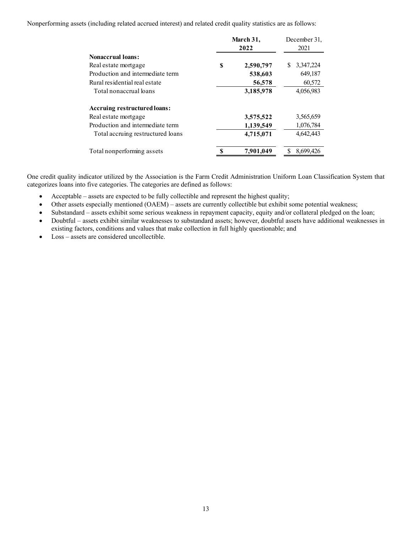Nonperforming assets (including related accrued interest) and related credit quality statistics are as follows:

|                                   | March 31, | December 31,<br>2021 |                |  |
|-----------------------------------|-----------|----------------------|----------------|--|
| <b>Nonaccrual loans:</b>          |           |                      |                |  |
| Real estate mortgage              | S         | 2,590,797            | 3,347,224<br>S |  |
| Production and intermediate term  |           | 538,603              | 649,187        |  |
| Rural residential real estate     |           | 56,578               | 60,572         |  |
| Total nonaccrual loans            |           | 3,185,978            | 4,056,983      |  |
| Accruing restructured loans:      |           |                      |                |  |
| Real estate mortgage              |           | 3,575,522            | 3,565,659      |  |
| Production and intermediate term  |           | 1,139,549            | 1,076,784      |  |
| Total accruing restructured loans |           | 4,715,071            | 4,642,443      |  |
| Total nonperforming assets        |           | 7.901.049            | 8,699,426      |  |

One credit quality indicator utilized by the Association is the Farm Credit Administration Uniform Loan Classification System that categorizes loans into five categories. The categories are defined as follows:

- Acceptable assets are expected to be fully collectible and represent the highest quality;
- Other assets especially mentioned (OAEM) assets are currently collectible but exhibit some potential weakness;
- Substandard assets exhibit some serious weakness in repayment capacity, equity and/or collateral pledged on the loan;
- Doubtful assets exhibit similar weaknesses to substandard assets; however, doubtful assets have additional weaknesses in existing factors, conditions and values that make collection in full highly questionable; and
- Loss assets are considered uncollectible.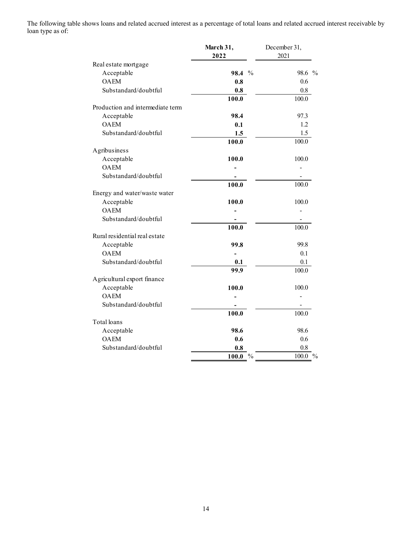The following table shows loans and related accrued interest as a percentage of total loans and related accrued interest receivable by loan type as of:

|                                  | March 31,                     | December 31,           |
|----------------------------------|-------------------------------|------------------------|
|                                  | 2022                          | 2021                   |
| Real estate mortgage             |                               |                        |
| Acceptable                       | 98.4 %                        | 98.6 %                 |
| <b>OAEM</b>                      | 0.8                           | 0.6                    |
| Substandard/doubtful             | 0.8                           | 0.8                    |
|                                  | 100.0                         | 100.0                  |
| Production and intermediate term |                               |                        |
| Acceptable                       | 98.4                          | 97.3                   |
| <b>OAEM</b>                      | 0.1                           | 1.2                    |
| Substandard/doubtful             | 1.5                           | 1.5                    |
|                                  | 100.0                         | 100.0                  |
| Agribusiness                     |                               |                        |
| Acceptable                       | 100.0                         | 100.0                  |
| <b>OAEM</b>                      |                               |                        |
| Substandard/doubtful             |                               |                        |
|                                  | 100.0                         | 100.0                  |
| Energy and water/waste water     |                               |                        |
| Acceptable                       | 100.0                         | 100.0                  |
| <b>OAEM</b>                      |                               |                        |
| Substandard/doubtful             |                               |                        |
|                                  | 100.0                         | 100.0                  |
| Rural residential real estate    |                               |                        |
| Acceptable                       | 99.8                          | 99.8                   |
| <b>OAEM</b>                      |                               | 0.1                    |
| Substandard/doubtful             | 0.1                           | 0.1                    |
|                                  | 99.9                          | 100.0                  |
| Agricultural export finance      |                               |                        |
| Acceptable                       | 100.0                         | 100.0                  |
| <b>OAEM</b>                      |                               | $\overline{a}$         |
| Substandard/doubtful             |                               |                        |
|                                  | 100.0                         | 100.0                  |
| Total loans                      |                               |                        |
| Acceptable                       | 98.6                          | 98.6                   |
| <b>OAEM</b>                      | 0.6                           | 0.6                    |
| Substandard/doubtful             | 0.8                           | 0.8                    |
|                                  | <b>100.0</b><br>$\frac{0}{0}$ | 100.0<br>$\frac{0}{0}$ |
|                                  |                               |                        |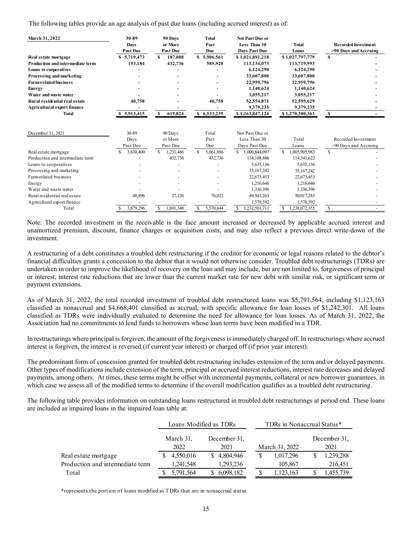The following tables provide an age analysis of past due loans (including accrued interest) as of:

| March 31, 2022                          | 30-89<br><b>Days</b><br><b>Past Due</b> | 90 Days<br>or More<br><b>Past Due</b> | <b>Total</b><br>Past<br>Due | <b>Not Past Due or</b><br><b>Less Than 30</b><br><b>Days Past Due</b> | <b>Total</b><br>Loans | <b>Recorded Investment</b><br>>90 Days and Accruing |
|-----------------------------------------|-----------------------------------------|---------------------------------------|-----------------------------|-----------------------------------------------------------------------|-----------------------|-----------------------------------------------------|
| Real estate mortgage                    | \$5,719,473                             | 187,088<br>S                          | \$5,906,561                 | \$1,021,891,218                                                       | \$1,027,797,779       | S                                                   |
| <b>Production and intermediate term</b> | 153,184                                 | 432,736                               | 585,920                     | 113,134,073                                                           | 113,719,993           |                                                     |
| <b>Loans to cooperatives</b>            |                                         |                                       |                             | 6,124,290                                                             | 6,124,290             |                                                     |
| Processing and marketing                |                                         |                                       |                             | 33,607,800                                                            | 33,607,800            |                                                     |
| <b>Farm-related business</b>            |                                         |                                       |                             | 22,959,796                                                            | 22,959,796            |                                                     |
| <b>Energy</b>                           |                                         |                                       |                             | 1.140.624                                                             | 1,140,624             |                                                     |
| Water and was te water                  |                                         |                                       |                             | 3,055,217                                                             | 3,055,217             |                                                     |
| Rural residential real estate           | 40,758                                  |                                       | 40,758                      | 52,554,871                                                            | 52,595,629            |                                                     |
| <b>Agricultural export finance</b>      |                                         |                                       |                             | 9,379,235                                                             | 9,379,235             |                                                     |
| Total                                   | \$5,913,415                             | S<br>619,824                          | \$6,533,239                 | \$1,263,847,124                                                       | \$1,270,380,363       | S                                                   |
| December 31, 2021                       | 30-89<br>Days<br>Past Due               | 90 Days<br>or More<br>Past Due        | Total<br>Past<br>Due        | Not Past Due or<br>Less Than 30<br>Days Past Due                      | Total<br>Loans        | Recorded Investment<br>>90 Days and Accruing        |
| Real estate mortgage                    | 3,830,400                               | \$.<br>1,231,486                      | \$<br>5,061,886             | S<br>1,000,844,097                                                    | \$.<br>1,005,905,983  | <sup>\$</sup>                                       |
| Production and intermediate term        |                                         | 432,736                               | 432,736                     | 114,108,886                                                           | 114,541,622           |                                                     |
| Loans to cooperatives                   |                                         |                                       |                             | 5,635,136                                                             | 5,635,136             |                                                     |
| Processing and marketing                |                                         |                                       |                             | 35,167,242                                                            | 35, 167, 242          |                                                     |
| Farm-related business                   |                                         |                                       |                             | 22,673,453                                                            | 22,673,453            |                                                     |
| Energy                                  |                                         |                                       |                             | 1,216,646                                                             | 1,216,646             |                                                     |
| Water and waste water                   |                                         |                                       |                             | 1,336,396                                                             | 1,336,396             |                                                     |
| Rural residential real estate           | 48,896                                  | 27,126                                | 76,022                      | 49,941,263                                                            | 50,017,285            |                                                     |
| Agricultural export finance             |                                         |                                       |                             | 1,578,592                                                             | 1,578,592             |                                                     |
| Total                                   | 3,879,296                               | 1,691,348<br>\$.                      | 5,570,644<br>S              | 1,232,501,711                                                         | 1,238,072,355         | S                                                   |

Note: The recorded investment in the receivable is the face amount increased or decreased by applicable accrued interest and unamortized premium, discount, finance charges or acquisition costs, and may also reflect a previous direct write-down of the investment.

A restructuring of a debt constitutes a troubled debt restructuring if the creditor for economic or legal reasons related to the debtor's financial difficulties grants a concession to the debtor that it would not otherwise consider. Troubled debt restructurings (TDRs) are undertaken in order to improve the likelihood of recovery on the loan and may include, but are not limited to, forgiveness of principal or interest, interest rate reductions that are lower than the current market rate for new debt with similar risk, or significant term or payment extensions.

As of March 31, 2022, the total recorded investment of troubled debt restructured loans was \$5,791,564, including \$1,123,163 classified as nonaccrual and \$4,668,401 classified as accrual, with specific allowance for loan losses of \$1,242,301. All loans classified as TDRs were individually evaluated to determine the need for allowance for loan losses. As of March 31, 2022, the Association had no commitments to lend funds to borrowers whose loan terms have been modified in a TDR.

In restructurings where principal is forgiven, the amount of the forgiveness is immediately charged off. In restructurings where accrued interest is forgiven, the interest is reversed (if current year interest) or charged off (if prior year interest).

The predominant form of concession granted for troubled debt restructuring includes extension of the term and/or delayed payments. Other types of modifications include extension of the term, principal or accrued interest reductions, interest rate decreases and delayed payments, among others. At times, these terms might be offset with incremental payments, collateral or new borrower guarantees, in which case we assess all of the modified terms to determine if the overall modification qualifies as a troubled debt restructuring.

The following table provides information on outstanding loans restructured in troubled debt restructurings at period end. These loans are included as impaired loans in the impaired loan table at:

|                                  |                   | Loans Modified as TDRs | TDRs in Nonaccrual Status* |                      |  |  |
|----------------------------------|-------------------|------------------------|----------------------------|----------------------|--|--|
|                                  | March 31,<br>2022 | December 31,<br>2021   | March 31, 2022             | December 31,<br>2021 |  |  |
| Real estate mortgage             | 4,550,016         | 4,804,946              | 1,017,296                  | 1,239,288            |  |  |
| Production and intermediate term | 1,241,548         | 1,293,236              | 105,867                    | 216,451              |  |  |
| Total                            | 5,791,564         | 6,098,182              | 1,123,163                  | 1,455,739            |  |  |

\*represents the portion of loans modified as TDRs that are in nonaccrual status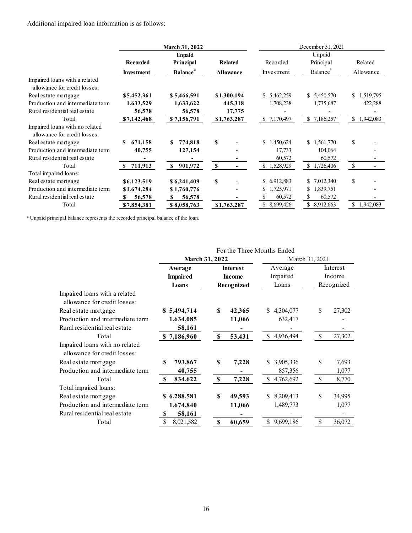#### Additional impaired loan information is as follows:

|                                  |                   | March 31, 2022              |                  | December 31, 2021 |                      |                  |  |  |
|----------------------------------|-------------------|-----------------------------|------------------|-------------------|----------------------|------------------|--|--|
|                                  | <b>Unpaid</b>     |                             |                  |                   | Unpaid               |                  |  |  |
|                                  | Recorded          | Principal                   | Related          | Recorded          | Principal            | Related          |  |  |
|                                  | <b>Investment</b> | <b>Balance</b> <sup>a</sup> | <b>Allowance</b> | Investment        | Balance <sup>a</sup> | Allowance        |  |  |
| Impaired loans with a related    |                   |                             |                  |                   |                      |                  |  |  |
| allowance for credit losses:     |                   |                             |                  |                   |                      |                  |  |  |
| Real estate mortgage             | \$5,452,361       | \$5,466,591                 | \$1,300,194      | 5,462,259<br>S.   | \$5,450,570          | 1,519,795<br>S.  |  |  |
| Production and intermediate term | 1,633,529         | 1,633,622                   | 445,318          | 1,708,238         | 1,735,687            | 422,288          |  |  |
| Rural residential real estate    | 56,578            | 56,578                      | 17,775           |                   |                      |                  |  |  |
| Total                            | \$7,142,468       | \$7,156,791                 | \$1,763,287      | \$<br>7,170,497   | \$7,186,257          | \$<br>1,942,083  |  |  |
| Impaired loans with no related   |                   |                             |                  |                   |                      |                  |  |  |
| allowance for credit losses:     |                   |                             |                  |                   |                      |                  |  |  |
| Real estate mortgage             | 671,158           | 774,818                     | S                | \$<br>1,450,624   | \$1,561,770          | \$               |  |  |
| Production and intermediate term | 40,755            | 127,154                     |                  | 17,733            | 104,064              |                  |  |  |
| Rural residential real estate    |                   |                             |                  | 60,572            | 60,572               |                  |  |  |
| Total                            | 711,913           | 901,972<br>\$               | S                | \$1,528,929       | \$1,726,406          | $\mathbb{S}$     |  |  |
| Total impaired loans:            |                   |                             |                  |                   |                      |                  |  |  |
| Real estate mortgage             | \$6,123,519       | \$6,241,409                 | $\mathbf S$      | 6,912,883<br>\$   | 7,012,340<br>S.      | \$               |  |  |
| Production and intermediate term | \$1,674,284       | \$1,760,776                 |                  | 1,725,971<br>\$   | \$<br>1,839,751      |                  |  |  |
| Rural residential real estate    | 56,578<br>S       | 56,578<br>S                 |                  | 60,572            | 60,572               |                  |  |  |
| Total                            | \$7,854,381       | \$8,058,763                 | \$1,763,287      | \$.<br>8,699,426  | S.<br>8,912,663      | \$.<br>1,942,083 |  |  |

<sup>a</sup> Unpaid principal balance represents the recorded principal balance of the loan.

|                                  | For the Three Months Ended |                   |                  |                        |  |  |  |
|----------------------------------|----------------------------|-------------------|------------------|------------------------|--|--|--|
|                                  | <b>March 31, 2022</b>      |                   | March 31, 2021   |                        |  |  |  |
|                                  | Average                    | <b>Interest</b>   | Average          | Interest               |  |  |  |
|                                  | <b>Impaired</b>            | <b>Income</b>     | Impaired         | Income<br>Recognized   |  |  |  |
|                                  | Loans                      | Recognized        | Loans            |                        |  |  |  |
| Impaired loans with a related    |                            |                   |                  |                        |  |  |  |
| allowance for credit losses:     |                            |                   |                  |                        |  |  |  |
| Real estate mortgage             | \$5,494,714                | S<br>42,365       | 4,304,077<br>S.  | S<br>27,302            |  |  |  |
| Production and intermediate term | 1,634,085                  | 11,066            | 632,417          |                        |  |  |  |
| Rural residential real estate    | 58,161                     |                   |                  |                        |  |  |  |
| Total                            | \$7,186,960                | S<br>53,431       | \$.<br>4,936,494 | $\mathbb{S}$<br>27,302 |  |  |  |
| Impaired loans with no related   |                            |                   |                  |                        |  |  |  |
| allowance for credit losses:     |                            |                   |                  |                        |  |  |  |
| Real estate mortgage             | \$<br>793,867              | \$<br>7,228       | 3,905,336<br>S.  | \$<br>7,693            |  |  |  |
| Production and intermediate term | 40,755                     |                   | 857,356          | 1,077                  |  |  |  |
| Total                            | -S<br>834,622              | 7,228<br><b>S</b> | \$.<br>4,762,692 | <b>S</b><br>8,770      |  |  |  |
| Total impaired loans:            |                            |                   |                  |                        |  |  |  |
| Real estate mortgage             | 6,288,581<br>S             | S<br>49,593       | 8,209,413<br>S.  | \$<br>34,995           |  |  |  |
| Production and intermediate term | 1,674,840                  | 11,066            | 1,489,773        | 1,077                  |  |  |  |
| Rural residential real estate    | 58,161<br>S                |                   |                  |                        |  |  |  |
| Total                            | \$<br>8,021,582            | 60,659<br>\$      | \$9,699,186      | S<br>36,072            |  |  |  |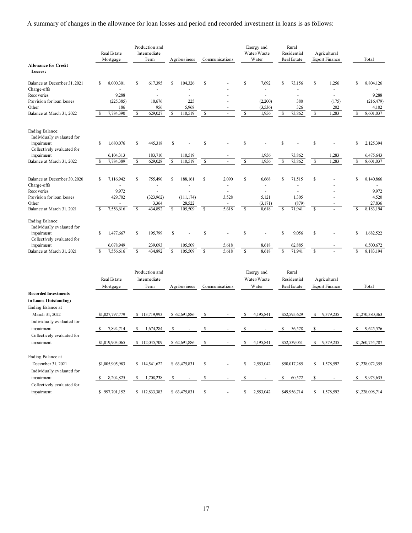A summary of changes in the allowance for loan losses and period end recorded investment in loans is as follows:

|                                                                                                  |              | Real Estate<br>Mortgage |              | Production and<br>Intermediate<br>Term |    | Agribusiness   |                    | Communications      |             | Energy and<br>Water/Waste<br>Water |              | Rural<br>Residential<br>Real Estate |                    | Agricultural<br><b>Export Finance</b> |    | Total               |
|--------------------------------------------------------------------------------------------------|--------------|-------------------------|--------------|----------------------------------------|----|----------------|--------------------|---------------------|-------------|------------------------------------|--------------|-------------------------------------|--------------------|---------------------------------------|----|---------------------|
| <b>Allowance for Credit</b><br>Losses:                                                           |              |                         |              |                                        |    |                |                    |                     |             |                                    |              |                                     |                    |                                       |    |                     |
| Balance at December 31, 2021                                                                     | \$           | 8,000,301               | \$           | 617,395                                | \$ | 104,326        | \$                 |                     | \$          | 7,692                              | \$           | 73,156                              | \$                 | 1,256                                 | \$ | 8,804,126           |
| Charge-offs                                                                                      |              |                         |              |                                        |    | $\overline{a}$ |                    |                     |             |                                    |              |                                     |                    | ä,                                    |    |                     |
| Recoveries                                                                                       |              | 9,288                   |              | 10,676                                 |    | ä,<br>225      |                    |                     |             |                                    |              | ä,<br>380                           |                    | ä,                                    |    | 9,288               |
| Provision for loan losses<br>Other                                                               |              | (225, 385)<br>186       |              | 956                                    |    | 5,968          |                    |                     |             | (2,200)<br>(3, 536)                |              | 326                                 |                    | (175)<br>202                          |    | (216, 479)<br>4,102 |
| Balance at March 31, 2022                                                                        | <sup>S</sup> | 7,784,390               | S            | 629,027                                | \$ | 110,519        | $\mathbb{S}$       | ×.                  | \$          | 1,956                              | S            | 73,862                              | S                  | 1,283                                 | \$ | 8,601,037           |
| <b>Ending Balance:</b><br>Individually evaluated for<br>impairment<br>Collectively evaluated for | \$           | 1,680,076               | S            | 445,318                                | \$ |                | \$                 |                     | \$          |                                    | \$           |                                     | \$                 |                                       | \$ | 2,125,394           |
| impairment                                                                                       |              | 6,104,313               |              | 183,710                                |    | 110,519        |                    |                     |             | 1,956                              |              | 73,862                              |                    | 1,283                                 |    | 6,475,643           |
| Balance at March 31, 2022                                                                        | S            | 7,784,389               | $\mathbb{S}$ | 629,028                                | \$ | 110,519        | \$                 | $\bar{\phantom{a}}$ | \$          | 1,956                              | $\mathbb{S}$ | 73,862                              | $\mathbb{S}$       | 1,283                                 | \$ | 8,601,037           |
| Balance at December 30, 2020<br>Charge-offs                                                      | \$           | 7,116,942               | S            | 755,490<br>$\sim$                      | S  | 188,161<br>ä,  | \$                 | 2,090<br>ä,         | \$          | 6,668<br>ä,                        | s            | 71,515                              | \$                 |                                       | \$ | 8,140,866           |
| Recoveries                                                                                       |              | 9,972                   |              |                                        |    | L,             |                    |                     |             |                                    |              |                                     |                    |                                       |    | 9,972               |
| Provision for loan losses                                                                        |              | 429,702                 |              | (323,962)                              |    | (111, 174)     |                    | 3,528               |             | 5,121                              |              | 1,305                               |                    |                                       |    | 4,520               |
| Other                                                                                            |              |                         |              | 3,364                                  |    | 28,522         |                    |                     |             | (3, 171)                           |              | (879)                               |                    |                                       |    | 27,836              |
| Balance at March 31, 2021                                                                        | S            | 7,556,616               | S            | 434,892                                | \$ | 105,509        | \$                 | 5,618               | \$          | 8,618                              | s            | 71,941                              | \$                 | $\omega$                              | \$ | 8,183,194           |
| <b>Ending Balance:</b><br>Individually evaluated for<br>impairment<br>Collectively evaluated for | \$           | 1,477,667               | S            | 195,799                                | \$ |                | \$                 |                     | \$          |                                    | s            | 9,056                               | \$                 |                                       | \$ | 1,682,522           |
| impairment                                                                                       |              | 6,078,949               |              | 239,093                                |    | 105,509        |                    | 5,618               |             | 8,618                              |              | 62,885                              |                    |                                       |    | 6,500,672           |
| Balance at March 31, 2021                                                                        | -S           | 7,556,616               | $\mathbb{S}$ | 434,892                                | \$ | 105,509        | $\mathbf{\hat{s}}$ | 5,618               | \$          | 8,618                              | $\mathbb{S}$ | 71,941                              | $\mathbf{\hat{s}}$ |                                       | \$ | 8,183,194           |
|                                                                                                  |              | Real Estate<br>Mortgage |              | Production and<br>Intermediate<br>Term |    | Agribusiness   |                    | Communications      |             | Energy and<br>Water/Waste<br>Water |              | Rural<br>Residential<br>Real Estate |                    | Agricultural<br><b>Export Finance</b> |    | Total               |
| <b>Recorded Investments</b>                                                                      |              |                         |              |                                        |    |                |                    |                     |             |                                    |              |                                     |                    |                                       |    |                     |
| in Loans Outstanding:<br>Ending Balance at<br>March 31, 2022                                     |              | \$1,027,797,779         |              | \$113,719,993                          |    | \$62,691,886   | \$                 |                     | \$          | 4,195,841                          |              | \$52,595,629                        | S                  | 9,379,235                             |    | \$1,270,380,363     |
| Individually evaluated for<br>impairment                                                         | S            | 7.894.714               | S            | 1,674,284                              | \$ |                |                    |                     | $\mathbf S$ |                                    | S            | 56,578                              | \$                 |                                       | S. | 9,625,576           |
| Collectively evaluated for                                                                       |              |                         |              |                                        |    |                |                    |                     |             |                                    |              |                                     |                    |                                       |    |                     |
| impairment                                                                                       |              | \$1,019,903,065         | S.           | 112,045,709                            |    | \$62,691,886   |                    |                     | \$          | 4,195,841                          |              | \$52,539,051                        | S                  | 9.379.235                             |    | \$1,260,754,787     |
| Ending Balance at<br>December 31, 2021                                                           |              | \$1,005,905,983         |              | \$ 114,541,622                         |    | \$63,475,831   | -S                 |                     | \$          | 2,553,042                          |              | \$50,017,285                        | S                  | 1,578,592                             |    | \$1,238,072,355     |
| Individually evaluated for<br>impairment                                                         | -S           | 8,204,825               | S            | 1,708,238                              | \$ |                | S                  |                     | S           |                                    | \$           | 60,572                              | \$                 |                                       | \$ | 9,973,635           |
| Collectively evaluated for<br>impairment                                                         |              | \$997,701,152           |              | \$112,833,383                          |    | \$63,475,831   | \$                 |                     | \$          | 2,553,042                          |              | \$49,956,714                        |                    | \$1,578,592                           |    | \$1,228,098,714     |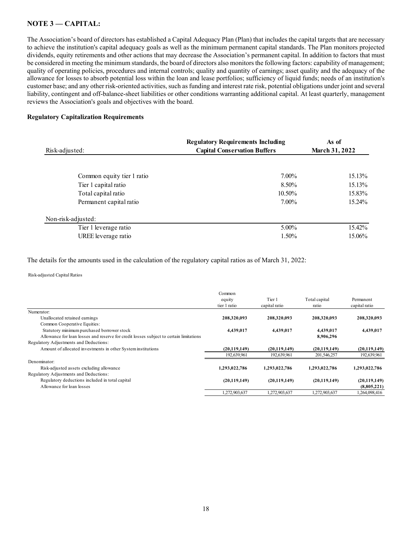## **NOTE 3 –– CAPITAL:**

The Association's board of directors has established a Capital Adequacy Plan (Plan) that includes the capital targets that are necessary to achieve the institution's capital adequacy goals as well as the minimum permanent capital standards. The Plan monitors projected dividends, equity retirements and other actions that may decrease the Association's permanent capital. In addition to factors that must be considered in meeting the minimum standards, the board of directors also monitors the following factors: capability of management; quality of operating policies, procedures and internal controls; quality and quantity of earnings; asset quality and the adequacy of the allowance for losses to absorb potential loss within the loan and lease portfolios; sufficiency of liquid funds; needs of an institution's customer base; and any other risk-oriented activities, such as funding and interest rate risk, potential obligations under joint and several liability, contingent and off-balance-sheet liabilities or other conditions warranting additional capital. At least quarterly, management reviews the Association's goals and objectives with the board.

#### **Regulatory Capitalization Requirements**

| Risk-adjusted:             | <b>Regulatory Requirements Including</b><br><b>Capital Conservation Buffers</b> | As of<br><b>March 31, 2022</b> |
|----------------------------|---------------------------------------------------------------------------------|--------------------------------|
| Common equity tier 1 ratio | 7.00%                                                                           | 15.13%                         |
| Tier 1 capital ratio       | 8.50%                                                                           | 15.13%                         |
| Total capital ratio        | 10.50%                                                                          | 15.83%                         |
| Permanent capital ratio    | $7.00\%$                                                                        | 15.24%                         |
| Non-risk-adjusted:         |                                                                                 |                                |
| Tier 1 leverage ratio      | $5.00\%$                                                                        | 15.42%                         |
| UREE leverage ratio        | 1.50%                                                                           | 15.06%                         |

The details for the amounts used in the calculation of the regulatory capital ratios as of March 31, 2022:

Risk-adjusted Capital Ratios

|                                                                                        | Common<br>equity<br>tier 1 ratio | Tier 1<br>capital ratio | Total capital<br>ratio | Permanent<br>capital ratio |
|----------------------------------------------------------------------------------------|----------------------------------|-------------------------|------------------------|----------------------------|
| Numerator:                                                                             |                                  |                         |                        |                            |
| Unallocated retained earnings                                                          | 208,320,093                      | 208,320,093             | 208,320,093            | 208,320,093                |
| Common Cooperative Equities:                                                           |                                  |                         |                        |                            |
| Statutory minimum purchased borrower stock                                             | 4,439,017                        | 4,439,017               | 4,439,017              | 4,439,017                  |
| Allowance for loan losses and reserve for credit losses subject to certain limitations |                                  |                         | 8.906.296              |                            |
| Regulatory Adjustments and Deductions:                                                 |                                  |                         |                        |                            |
| Amount of allocated investments in other System institutions                           | (20, 119, 149)                   | (20.119.149)            | (20.119.149)           | (20, 119, 149)             |
|                                                                                        | 192,639,961                      | 192,639,961             | 201,546,257            | 192,639,961                |
| Denominator:                                                                           |                                  |                         |                        |                            |
| Risk-adjusted assets excluding allowance                                               | 1,293,022,786                    | 1,293,022,786           | 1,293,022,786          | 1,293,022,786              |
| Regulatory Adjustments and Deductions:                                                 |                                  |                         |                        |                            |
| Regulatory deductions included in total capital                                        | (20, 119, 149)                   | (20, 119, 149)          | (20, 119, 149)         | (20, 119, 149)             |
| Allowance for loan losses                                                              |                                  |                         |                        | (8,805,221)                |
|                                                                                        | 1,272,903,637                    | 1,272,903,637           | 1,272,903,637          | 1,264,098,416              |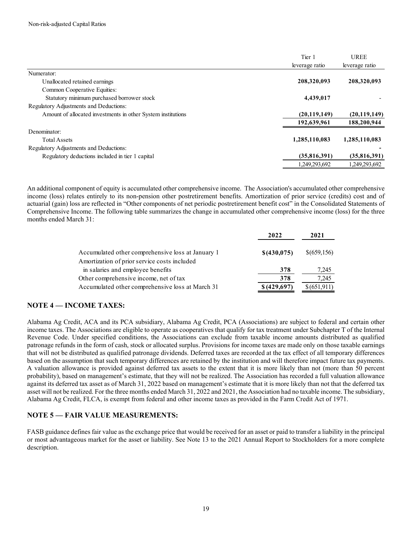|                                                              | Tier 1         | <b>UREE</b>    |
|--------------------------------------------------------------|----------------|----------------|
|                                                              | leverage ratio | leverage ratio |
| Numerator:                                                   |                |                |
| Unallocated retained earnings                                | 208,320,093    | 208,320,093    |
| Common Cooperative Equities:                                 |                |                |
| Statutory minimum purchased borrower stock                   | 4,439,017      |                |
| Regulatory Adjustments and Deductions:                       |                |                |
| Amount of allocated investments in other System institutions | (20, 119, 149) | (20, 119, 149) |
|                                                              | 192,639,961    | 188,200,944    |
| Denominator:                                                 |                |                |
| <b>Total Assets</b>                                          | 1,285,110,083  | 1,285,110,083  |
| Regulatory Adjustments and Deductions:                       |                |                |
| Regulatory deductions included in tier 1 capital             | (35,816,391)   | (35,816,391)   |
|                                                              | 1.249.293.692  | 1.249.293.692  |

An additional component of equity is accumulated other comprehensive income. The Association's accumulated other comprehensive income (loss) relates entirely to its non-pension other postretirement benefits. Amortization of prior service (credits) cost and of actuarial (gain) loss are reflected in "Other components of net periodic postretirement benefit cost" in the Consolidated Statements of Comprehensive Income. The following table summarizes the change in accumulated other comprehensive income (loss) for the three months ended March 31:

|                                                                                                   | 2022         | 2021        |
|---------------------------------------------------------------------------------------------------|--------------|-------------|
| Accumulated other comprehensive loss at January 1<br>Amortization of prior service costs included | \$ (430,075) | \$(659,156) |
| in salaries and employee benefits                                                                 | 378          | 7,245       |
| Other comprehensive income, net of tax                                                            | 378          | 7.245       |
| Accumulated other comprehensive loss at March 31                                                  | \$ (429,697) | \$(651,911) |

## **NOTE 4 — INCOME TAXES:**

Alabama Ag Credit, ACA and its PCA subsidiary, Alabama Ag Credit, PCA (Associations) are subject to federal and certain other income taxes. The Associations are eligible to operate as cooperatives that qualify for tax treatment under Subchapter T of the Internal Revenue Code. Under specified conditions, the Associations can exclude from taxable income amounts distributed as qualified patronage refunds in the form of cash, stock or allocated surplus. Provisions for income taxes are made only on those taxable earnings that will not be distributed as qualified patronage dividends. Deferred taxes are recorded at the tax effect of all temporary differences based on the assumption that such temporary differences are retained by the institution and will therefore impact future tax payments. A valuation allowance is provided against deferred tax assets to the extent that it is more likely than not (more than 50 percent probability), based on management's estimate, that they will not be realized. The Association has recorded a full valuation allowance against its deferred tax asset as of March 31, 2022 based on management's estimate that it is more likely than not that the deferred tax asset will not be realized. For the three months ended March 31, 2022 and 2021, the Association had no taxable income. The subsidiary, Alabama Ag Credit, FLCA, is exempt from federal and other income taxes as provided in the Farm Credit Act of 1971.

## **NOTE 5 — FAIR VALUE MEASUREMENTS:**

FASB guidance defines fair value as the exchange price that would be received for an asset or paid to transfer a liability in the principal or most advantageous market for the asset or liability. See Note 13 to the 2021 Annual Report to Stockholders for a more complete description.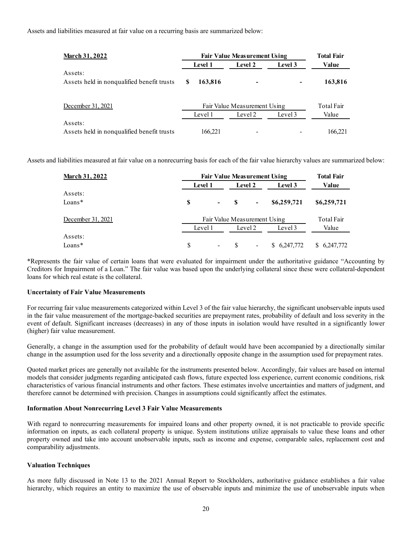Assets and liabilities measured at fair value on a recurring basis are summarized below:

| <b>March 31, 2022</b>                      | <b>Fair Value Measurement Using</b> | <b>Total Fair</b> |         |         |
|--------------------------------------------|-------------------------------------|-------------------|---------|---------|
|                                            | Level 1                             | Level 2           | Level 3 | Value   |
| Assets:                                    |                                     |                   |         |         |
| Assets held in nonqualified benefit trusts | 163,816<br>S                        |                   |         | 163,816 |
| December 31, 2021                          | Fair Value Measurement Using        | <b>Total Fair</b> |         |         |
|                                            | Level 1                             | Level 2           | Level 3 | Value   |
| Assets:                                    |                                     |                   |         |         |
| Assets held in nonqualified benefit trusts | 166.221                             |                   |         | 166.221 |

Assets and liabilities measured at fair value on a nonrecurring basis for each of the fair value hierarchy values are summarized below:

| <b>March 31, 2022</b> |         | <b>Fair Value Measurement Using</b> |         |                              |             |             |  |  |
|-----------------------|---------|-------------------------------------|---------|------------------------------|-------------|-------------|--|--|
|                       |         | <b>Level 1</b>                      |         |                              | Level 3     | Value       |  |  |
| Assets:               |         |                                     |         |                              |             |             |  |  |
| $Loans*$              | S       | $\Delta \sim 100$                   |         | $\qquad \qquad \blacksquare$ | \$6,259,721 | \$6,259,721 |  |  |
| December 31, 2021     |         | Fair Value Measurement Using        |         |                              |             |             |  |  |
|                       | Level 1 |                                     | Level 2 |                              | Level 3     | Value       |  |  |
| Assets:               |         |                                     |         |                              |             |             |  |  |
| $Loans*$              | S       | $\blacksquare$                      |         | -                            | \$6,247,772 | \$6,247,772 |  |  |

\*Represents the fair value of certain loans that were evaluated for impairment under the authoritative guidance "Accounting by Creditors for Impairment of a Loan." The fair value was based upon the underlying collateral since these were collateral-dependent loans for which real estate is the collateral.

#### **Uncertainty of Fair Value Measurements**

For recurring fair value measurements categorized within Level 3 of the fair value hierarchy, the significant unobservable inputs used in the fair value measurement of the mortgage-backed securities are prepayment rates, probability of default and loss severity in the event of default. Significant increases (decreases) in any of those inputs in isolation would have resulted in a significantly lower (higher) fair value measurement.

Generally, a change in the assumption used for the probability of default would have been accompanied by a directionally similar change in the assumption used for the loss severity and a directionally opposite change in the assumption used for prepayment rates.

Quoted market prices are generally not available for the instruments presented below. Accordingly, fair values are based on internal models that consider judgments regarding anticipated cash flows, future expected loss experience, current economic conditions, risk characteristics of various financial instruments and other factors. These estimates involve uncertainties and matters of judgment, and therefore cannot be determined with precision. Changes in assumptions could significantly affect the estimates.

#### **Information About Nonrecurring Level 3 Fair Value Measurements**

With regard to nonrecurring measurements for impaired loans and other property owned, it is not practicable to provide specific information on inputs, as each collateral property is unique. System institutions utilize appraisals to value these loans and other property owned and take into account unobservable inputs, such as income and expense, comparable sales, replacement cost and comparability adjustments.

#### **Valuation Techniques**

As more fully discussed in Note 13 to the 2021 Annual Report to Stockholders, authoritative guidance establishes a fair value hierarchy, which requires an entity to maximize the use of observable inputs and minimize the use of unobservable inputs when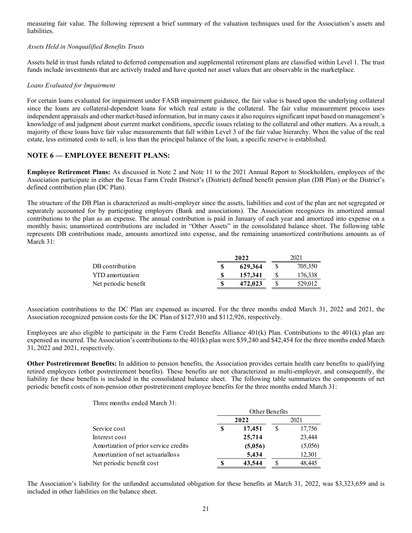measuring fair value. The following represent a brief summary of the valuation techniques used for the Association's assets and liabilities.

#### *Assets Held in Nonqualified Benefits Trusts*

Assets held in trust funds related to deferred compensation and supplemental retirement plans are classified within Level 1. The trust funds include investments that are actively traded and have quoted net asset values that are observable in the marketplace.

#### *Loans Evaluated for Impairment*

For certain loans evaluated for impairment under FASB impairment guidance, the fair value is based upon the underlying collateral since the loans are collateral-dependent loans for which real estate is the collateral. The fair value measurement process uses independent appraisals and other market-based information, but in many cases it also requires significant input based on management's knowledge of and judgment about current market conditions, specific issues relating to the collateral and other matters. As a result, a majority of these loans have fair value measurements that fall within Level 3 of the fair value hierarchy. When the value of the real estate, less estimated costs to sell, is less than the principal balance of the loan, a specific reserve is established.

## **NOTE 6 — EMPLOYEE BENEFIT PLANS:**

**Employee Retirement Plans:** As discussed in Note 2 and Note 11 to the 2021 Annual Report to Stockholders, employees of the Association participate in either the Texas Farm Credit District's (District) defined benefit pension plan (DB Plan) or the District's defined contribution plan (DC Plan).

The structure of the DB Plan is characterized as multi-employer since the assets, liabilities and cost of the plan are not segregated or separately accounted for by participating employers (Bank and associations). The Association recognizes its amortized annual contributions to the plan as an expense. The annual contribution is paid in January of each year and amortized into expense on a monthly basis; unamortized contributions are included in "Other Assets" in the consolidated balance sheet. The following table represents DB contributions made, amounts amortized into expense, and the remaining unamortized contributions amounts as of March 31:

|                      | 2022 |         | 2021 |         |
|----------------------|------|---------|------|---------|
| DB contribution      |      | 629.364 |      | 705,350 |
| YTD amortization     |      | 157,341 |      | 176,338 |
| Net periodic benefit |      | 472.023 |      | 529,012 |

Association contributions to the DC Plan are expensed as incurred. For the three months ended March 31, 2022 and 2021, the Association recognized pension costs for the DC Plan of \$127,910 and \$112,926, respectively.

Employees are also eligible to participate in the Farm Credit Benefits Alliance 401(k) Plan. Contributions to the 401(k) plan are expensed as incurred. The Association's contributions to the 401(k) plan were \$39,240 and \$42,454 for the three months ended March 31, 2022 and 2021, respectively.

**Other Postretirement Benefits:** In addition to pension benefits, the Association provides certain health care benefits to qualifying retired employees (other postretirement benefits). These benefits are not characterized as multi-employer, and consequently, the liability for these benefits is included in the consolidated balance sheet. The following table summarizes the components of net periodic benefit costs of non-pension other postretirement employee benefits for the three months ended March 31:

Three months ended March 31:

|                                       | Other Benefits |         |      |         |
|---------------------------------------|----------------|---------|------|---------|
|                                       | 2022           |         | 2021 |         |
| Service cost                          | S              | 17,451  |      | 17,756  |
| Interest cost                         |                | 25,714  |      | 23,444  |
| Amortization of prior service credits |                | (5,056) |      | (5,056) |
| Amortization of net actuarialloss     |                | 5,434   |      | 12,301  |
| Net periodic benefit cost             |                | 43,544  |      | 48,445  |

The Association's liability for the unfunded accumulated obligation for these benefits at March 31, 2022, was \$3,323,659 and is included in other liabilities on the balance sheet.